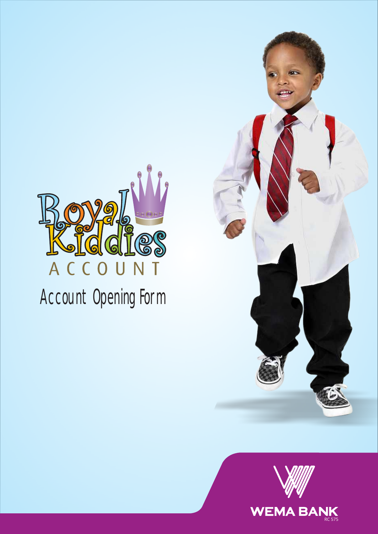

# **Account Opening Form**



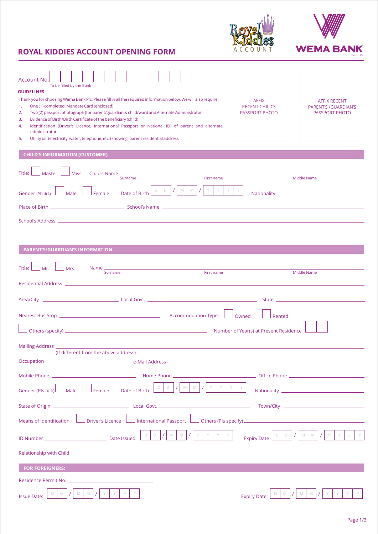

# **ROYAL KIDDIES ACCOUNT OPENING FORM** ACCOUNT **WEMA BANK**

| Account No.                                                                                                                                                                    |                                                                                                                                                             |  |  |
|--------------------------------------------------------------------------------------------------------------------------------------------------------------------------------|-------------------------------------------------------------------------------------------------------------------------------------------------------------|--|--|
| To be filled by the Bank<br><b>GUIDELINES</b>                                                                                                                                  |                                                                                                                                                             |  |  |
| Thank you for choosing Wema Bank Plc. Please fill in all the required information below. We will also require:<br>One (1) completed Mandate Card (enclosed)<br>-1.             | <b>AFFIX</b><br><b>AFFIX RECENT</b>                                                                                                                         |  |  |
| Two (2) passport photograph (for parent/guardian & child/ward and Alternate Administrator<br>2.                                                                                | <b>RECENT CHILD'S</b><br>PARENT'S / GUARDIAN'S<br><b>PASSPORT PHOTO</b><br><b>PASSPORT PHOTO</b>                                                            |  |  |
| Evidence of Birth/Birth Certificate of the beneficiary (child)<br>3.<br>Identification (Driver's Licence, International Passport or National ID) of parent and alternate<br>4. |                                                                                                                                                             |  |  |
| administrator                                                                                                                                                                  |                                                                                                                                                             |  |  |
| Utility bill (electricity, water, telephone, etc.) showing parent residential address<br>5.                                                                                    |                                                                                                                                                             |  |  |
| <b>CHILD'S INFORMATION (CUSTOMER)</b>                                                                                                                                          |                                                                                                                                                             |  |  |
|                                                                                                                                                                                |                                                                                                                                                             |  |  |
| Master<br>Title: I<br>First name<br>Surname                                                                                                                                    | Middle Name                                                                                                                                                 |  |  |
| M<br>Y<br>D<br>$M_{\odot}$<br>Date of Birth<br>Gender (Pls tick)<br>Male<br>Female                                                                                             |                                                                                                                                                             |  |  |
|                                                                                                                                                                                |                                                                                                                                                             |  |  |
|                                                                                                                                                                                |                                                                                                                                                             |  |  |
|                                                                                                                                                                                |                                                                                                                                                             |  |  |
|                                                                                                                                                                                |                                                                                                                                                             |  |  |
| PARENT'S/GUARDIAN'S INFORMATION                                                                                                                                                |                                                                                                                                                             |  |  |
| $\vert$ Mr. $\vert$<br>Title:<br>Mrs.<br>Surname<br>First name                                                                                                                 | Middle Name                                                                                                                                                 |  |  |
|                                                                                                                                                                                |                                                                                                                                                             |  |  |
|                                                                                                                                                                                |                                                                                                                                                             |  |  |
|                                                                                                                                                                                | Rented                                                                                                                                                      |  |  |
|                                                                                                                                                                                |                                                                                                                                                             |  |  |
|                                                                                                                                                                                | Owned                                                                                                                                                       |  |  |
|                                                                                                                                                                                |                                                                                                                                                             |  |  |
| Mailing Address.                                                                                                                                                               |                                                                                                                                                             |  |  |
| (If different from the above address)                                                                                                                                          |                                                                                                                                                             |  |  |
|                                                                                                                                                                                |                                                                                                                                                             |  |  |
| M<br>$\mathsf D$<br>$\Box$<br>M<br>Gender (Pls tick) $\Box$ Male $\Box$ Female Date of Birth                                                                                   |                                                                                                                                                             |  |  |
|                                                                                                                                                                                |                                                                                                                                                             |  |  |
| Means of Identification <u>Departs Licence</u> International Passport Dubbers (Pls specify)                                                                                    |                                                                                                                                                             |  |  |
| Y<br>$M$ $M$<br>Y                                                                                                                                                              | $\mid$ Y $\mid$<br>$Y$ $Y$ $Y$<br>M M<br>Y.<br>Expiry Date $\boxed{\begin{array}{c c} \square & \square & \square \end{array}}$<br>$\sqrt{2}$<br>$\sqrt{2}$ |  |  |
|                                                                                                                                                                                |                                                                                                                                                             |  |  |
|                                                                                                                                                                                |                                                                                                                                                             |  |  |
| <b>FOR FOREIGNERS:</b>                                                                                                                                                         |                                                                                                                                                             |  |  |
|                                                                                                                                                                                |                                                                                                                                                             |  |  |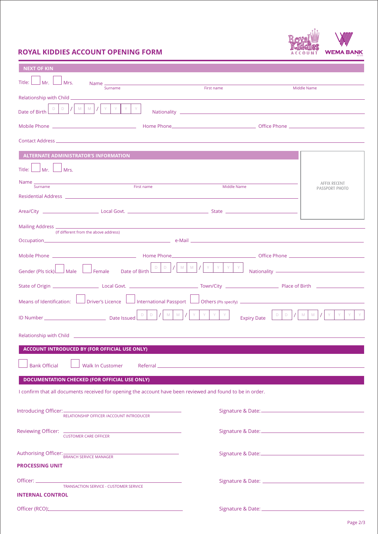## **ROYAL KIDDIES ACCOUNT OPENING FORM**

| ١              |                                   |
|----------------|-----------------------------------|
| <b>ACCOUNT</b> | <b>WEMA BANK</b><br><b>RC 575</b> |

| <b>NEXT OF KIN</b>                                                                                                                                                                                                                                                                                                                                             |                                                                                                                                                                                                                                     |                                                          |  |
|----------------------------------------------------------------------------------------------------------------------------------------------------------------------------------------------------------------------------------------------------------------------------------------------------------------------------------------------------------------|-------------------------------------------------------------------------------------------------------------------------------------------------------------------------------------------------------------------------------------|----------------------------------------------------------|--|
| Mr.<br>Title:<br>Mrs.<br>Name <sub>-</sub><br>Surname                                                                                                                                                                                                                                                                                                          | First name                                                                                                                                                                                                                          | Middle Name                                              |  |
| Relationship with Child _                                                                                                                                                                                                                                                                                                                                      |                                                                                                                                                                                                                                     |                                                          |  |
| M<br>D<br>M<br>Date of Birth                                                                                                                                                                                                                                                                                                                                   |                                                                                                                                                                                                                                     |                                                          |  |
|                                                                                                                                                                                                                                                                                                                                                                |                                                                                                                                                                                                                                     |                                                          |  |
|                                                                                                                                                                                                                                                                                                                                                                |                                                                                                                                                                                                                                     |                                                          |  |
| <b>ALTERNATE ADMINISTRATOR'S INFORMATION</b>                                                                                                                                                                                                                                                                                                                   |                                                                                                                                                                                                                                     |                                                          |  |
| $Mr$ .<br>Title:<br>Mrs.                                                                                                                                                                                                                                                                                                                                       |                                                                                                                                                                                                                                     |                                                          |  |
| Name_<br>Surname<br>First name                                                                                                                                                                                                                                                                                                                                 | <b>Middle Name</b>                                                                                                                                                                                                                  | AFFIX RECENT<br>PASSPORT PHOTO                           |  |
|                                                                                                                                                                                                                                                                                                                                                                |                                                                                                                                                                                                                                     |                                                          |  |
|                                                                                                                                                                                                                                                                                                                                                                |                                                                                                                                                                                                                                     |                                                          |  |
| Mailing Address _<br>(If different from the above address)                                                                                                                                                                                                                                                                                                     |                                                                                                                                                                                                                                     |                                                          |  |
| e-Mail and the contract of the contract of the contract of the contract of the contract of the contract of the<br>Occupation_____                                                                                                                                                                                                                              |                                                                                                                                                                                                                                     |                                                          |  |
|                                                                                                                                                                                                                                                                                                                                                                | <u>Notice Phone</u> Contract Dente Contract Dente Contract Dente Contract Dente Contract Dente Contract Dente Contract Dente Contract Dente Contract Dente Contract Dente Contract Dente Contract Dente Contract Dente Contract Den |                                                          |  |
| D<br>D<br>Gender (Pls tick)<br>$\mathsf{\mathsf{\bot}}$ Female<br>J Male<br>Date of Birth                                                                                                                                                                                                                                                                      | M<br>M                                                                                                                                                                                                                              | Nationality <u>_________________________________</u> ___ |  |
|                                                                                                                                                                                                                                                                                                                                                                |                                                                                                                                                                                                                                     |                                                          |  |
| $\perp$ International Passport $\perp$ Others (Pls specify) $\perp$ $\perp$ $\perp$ $\perp$ $\perp$ $\perp$ $\perp$ $\perp$ $\perp$ $\perp$ $\perp$ $\perp$ $\perp$ $\perp$ $\perp$ $\perp$ $\perp$ $\perp$ $\perp$ $\perp$ $\perp$ $\perp$ $\perp$ $\perp$ $\perp$ $\perp$ $\perp$ $\per$<br>$\Box$ Driver's Licence $\;$ $\sf L$<br>Means of Identification: |                                                                                                                                                                                                                                     |                                                          |  |
| ${\mathsf M}$<br>M<br>M<br>M<br>D<br><b>Expiry Date</b>                                                                                                                                                                                                                                                                                                        |                                                                                                                                                                                                                                     |                                                          |  |
| Relationship with Child <b>Container and Child Child Child Child Child Child Child Child Child Child Child Child Child Child Child Child Child Child Child Child Child Child Child Child Child Child Child Child Child Child Chi</b>                                                                                                                           |                                                                                                                                                                                                                                     |                                                          |  |
| <b>ACCOUNT INTRODUCED BY (FOR OFFICIAL USE ONLY)</b>                                                                                                                                                                                                                                                                                                           |                                                                                                                                                                                                                                     |                                                          |  |
| <b>Bank Official</b><br><b>Walk In Customer</b>                                                                                                                                                                                                                                                                                                                |                                                                                                                                                                                                                                     |                                                          |  |
| <b>DOCUMENTATION CHECKED (FOR OFFICIAL USE ONLY)</b>                                                                                                                                                                                                                                                                                                           |                                                                                                                                                                                                                                     |                                                          |  |
| I confirm that all documents received for opening the account have been reviewed and found to be in order.                                                                                                                                                                                                                                                     |                                                                                                                                                                                                                                     |                                                          |  |
| Introducing Officer: ELATIONSHIP OFFICER /ACCOUNT INTRODUCER                                                                                                                                                                                                                                                                                                   |                                                                                                                                                                                                                                     |                                                          |  |
| Reviewing Officer: USTOMER CARE OFFICER                                                                                                                                                                                                                                                                                                                        |                                                                                                                                                                                                                                     |                                                          |  |
| Authorising Officer: BRANCH SERVICE MANAGER                                                                                                                                                                                                                                                                                                                    |                                                                                                                                                                                                                                     |                                                          |  |
| <b>PROCESSING UNIT</b>                                                                                                                                                                                                                                                                                                                                         |                                                                                                                                                                                                                                     |                                                          |  |
| <b>TRANSACTION SERVICE - CUSTOMER SERVICE</b>                                                                                                                                                                                                                                                                                                                  |                                                                                                                                                                                                                                     |                                                          |  |
| <b>INTERNAL CONTROL</b>                                                                                                                                                                                                                                                                                                                                        |                                                                                                                                                                                                                                     |                                                          |  |
|                                                                                                                                                                                                                                                                                                                                                                |                                                                                                                                                                                                                                     |                                                          |  |